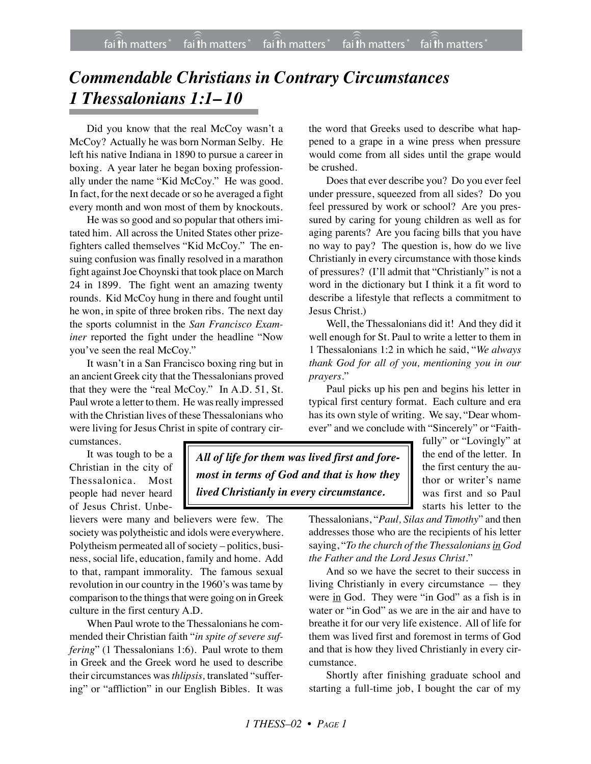## *Commendable Christians in Contrary Circumstances 1 Thessalonians 1:1– 10*

Did you know that the real McCoy wasn't a McCoy? Actually he was born Norman Selby. He left his native Indiana in 1890 to pursue a career in boxing. A year later he began boxing professionally under the name "Kid McCoy." He was good. In fact, for the next decade or so he averaged a fight every month and won most of them by knockouts.

He was so good and so popular that others imitated him. All across the United States other prizefighters called themselves "Kid McCoy." The ensuing confusion was finally resolved in a marathon fight against Joe Choynski that took place on March 24 in 1899. The fight went an amazing twenty rounds. Kid McCoy hung in there and fought until he won, in spite of three broken ribs. The next day the sports columnist in the *San Francisco Examiner* reported the fight under the headline "Now you've seen the real McCoy."

It wasn't in a San Francisco boxing ring but in an ancient Greek city that the Thessalonians proved that they were the "real McCoy." In A.D. 51, St. Paul wrote a letter to them. He was really impressed with the Christian lives of these Thessalonians who were living for Jesus Christ in spite of contrary circumstances.

It was tough to be a Christian in the city of Thessalonica. Most people had never heard of Jesus Christ. Unbe-

lievers were many and believers were few. The society was polytheistic and idols were everywhere. Polytheism permeated all of society – politics, business, social life, education, family and home. Add to that, rampant immorality. The famous sexual revolution in our country in the 1960's was tame by comparison to the things that were going on in Greek culture in the first century A.D.

When Paul wrote to the Thessalonians he commended their Christian faith "*in spite of severe suffering*" (1 Thessalonians 1:6). Paul wrote to them in Greek and the Greek word he used to describe their circumstances was *thlipsis,* translated "suffering" or "affliction" in our English Bibles. It was

the word that Greeks used to describe what happened to a grape in a wine press when pressure would come from all sides until the grape would be crushed.

Does that ever describe you? Do you ever feel under pressure, squeezed from all sides? Do you feel pressured by work or school? Are you pressured by caring for young children as well as for aging parents? Are you facing bills that you have no way to pay? The question is, how do we live Christianly in every circumstance with those kinds of pressures? (I'll admit that "Christianly" is not a word in the dictionary but I think it a fit word to describe a lifestyle that reflects a commitment to Jesus Christ.)

Well, the Thessalonians did it! And they did it well enough for St. Paul to write a letter to them in 1 Thessalonians 1:2 in which he said, "*We always thank God for all of you, mentioning you in our prayers.*"

Paul picks up his pen and begins his letter in typical first century format. Each culture and era has its own style of writing. We say, "Dear whomever" and we conclude with "Sincerely" or "Faith-

*All of life for them was lived first and foremost in terms of God and that is how they lived Christianly in every circumstance.*

fully" or "Lovingly" at the end of the letter. In the first century the author or writer's name was first and so Paul starts his letter to the

Thessalonians, "*Paul, Silas and Timothy*" and then addresses those who are the recipients of his letter saying, "*To the church of the Thessalonians in God the Father and the Lord Jesus Christ*."

And so we have the secret to their success in living Christianly in every circumstance — they were in God. They were "in God" as a fish is in water or "in God" as we are in the air and have to breathe it for our very life existence. All of life for them was lived first and foremost in terms of God and that is how they lived Christianly in every circumstance.

Shortly after finishing graduate school and starting a full-time job, I bought the car of my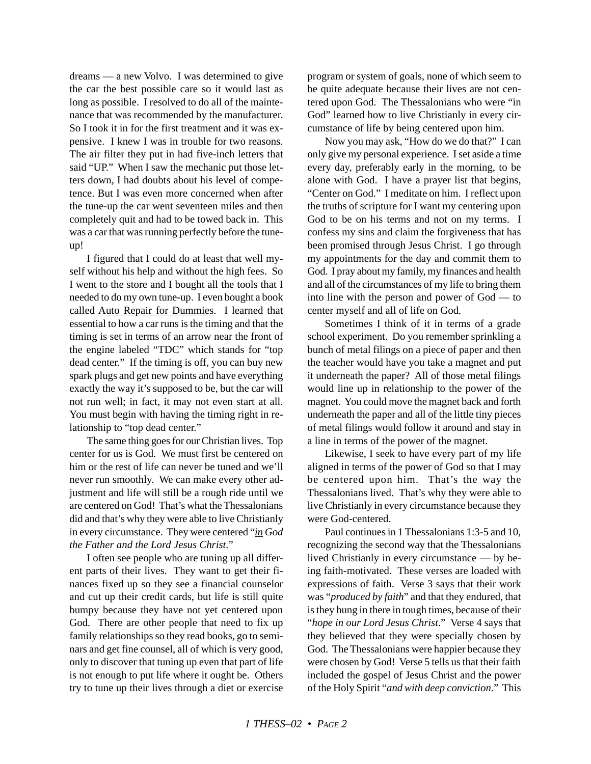dreams — a new Volvo. I was determined to give the car the best possible care so it would last as long as possible. I resolved to do all of the maintenance that was recommended by the manufacturer. So I took it in for the first treatment and it was expensive. I knew I was in trouble for two reasons. The air filter they put in had five-inch letters that said "UP." When I saw the mechanic put those letters down, I had doubts about his level of competence. But I was even more concerned when after the tune-up the car went seventeen miles and then completely quit and had to be towed back in. This was a car that was running perfectly before the tuneup!

I figured that I could do at least that well myself without his help and without the high fees. So I went to the store and I bought all the tools that I needed to do my own tune-up. I even bought a book called Auto Repair for Dummies. I learned that essential to how a car runs is the timing and that the timing is set in terms of an arrow near the front of the engine labeled "TDC" which stands for "top dead center." If the timing is off, you can buy new spark plugs and get new points and have everything exactly the way it's supposed to be, but the car will not run well; in fact, it may not even start at all. You must begin with having the timing right in relationship to "top dead center."

The same thing goes for our Christian lives. Top center for us is God. We must first be centered on him or the rest of life can never be tuned and we'll never run smoothly. We can make every other adjustment and life will still be a rough ride until we are centered on God! That's what the Thessalonians did and that's why they were able to live Christianly in every circumstance. They were centered "*in God the Father and the Lord Jesus Christ*."

I often see people who are tuning up all different parts of their lives. They want to get their finances fixed up so they see a financial counselor and cut up their credit cards, but life is still quite bumpy because they have not yet centered upon God. There are other people that need to fix up family relationships so they read books, go to seminars and get fine counsel, all of which is very good, only to discover that tuning up even that part of life is not enough to put life where it ought be. Others try to tune up their lives through a diet or exercise program or system of goals, none of which seem to be quite adequate because their lives are not centered upon God. The Thessalonians who were "in God" learned how to live Christianly in every circumstance of life by being centered upon him.

Now you may ask, "How do we do that?" I can only give my personal experience. I set aside a time every day, preferably early in the morning, to be alone with God. I have a prayer list that begins, "Center on God." I meditate on him. I reflect upon the truths of scripture for I want my centering upon God to be on his terms and not on my terms. I confess my sins and claim the forgiveness that has been promised through Jesus Christ. I go through my appointments for the day and commit them to God. I pray about my family, my finances and health and all of the circumstances of my life to bring them into line with the person and power of God — to center myself and all of life on God.

Sometimes I think of it in terms of a grade school experiment. Do you remember sprinkling a bunch of metal filings on a piece of paper and then the teacher would have you take a magnet and put it underneath the paper? All of those metal filings would line up in relationship to the power of the magnet. You could move the magnet back and forth underneath the paper and all of the little tiny pieces of metal filings would follow it around and stay in a line in terms of the power of the magnet.

Likewise, I seek to have every part of my life aligned in terms of the power of God so that I may be centered upon him. That's the way the Thessalonians lived. That's why they were able to live Christianly in every circumstance because they were God-centered.

Paul continues in 1 Thessalonians 1:3-5 and 10, recognizing the second way that the Thessalonians lived Christianly in every circumstance — by being faith-motivated. These verses are loaded with expressions of faith. Verse 3 says that their work was "*produced by faith*" and that they endured, that is they hung in there in tough times, because of their "*hope in our Lord Jesus Christ*." Verse 4 says that they believed that they were specially chosen by God. The Thessalonians were happier because they were chosen by God! Verse 5 tells us that their faith included the gospel of Jesus Christ and the power of the Holy Spirit "*and with deep conviction*." This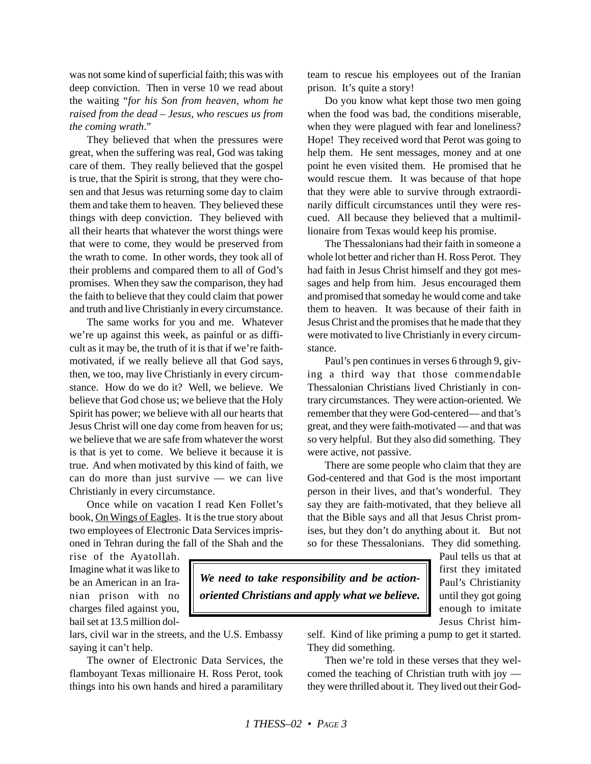was not some kind of superficial faith; this was with deep conviction. Then in verse 10 we read about the waiting "*for his Son from heaven, whom he raised from the dead – Jesus, who rescues us from the coming wrath*."

They believed that when the pressures were great, when the suffering was real, God was taking care of them. They really believed that the gospel is true, that the Spirit is strong, that they were chosen and that Jesus was returning some day to claim them and take them to heaven. They believed these things with deep conviction. They believed with all their hearts that whatever the worst things were that were to come, they would be preserved from the wrath to come. In other words, they took all of their problems and compared them to all of God's promises. When they saw the comparison, they had the faith to believe that they could claim that power and truth and live Christianly in every circumstance.

The same works for you and me. Whatever we're up against this week, as painful or as difficult as it may be, the truth of it is that if we're faithmotivated, if we really believe all that God says, then, we too, may live Christianly in every circumstance. How do we do it? Well, we believe. We believe that God chose us; we believe that the Holy Spirit has power; we believe with all our hearts that Jesus Christ will one day come from heaven for us; we believe that we are safe from whatever the worst is that is yet to come. We believe it because it is true. And when motivated by this kind of faith, we can do more than just survive — we can live Christianly in every circumstance.

Once while on vacation I read Ken Follet's book, On Wings of Eagles. It is the true story about two employees of Electronic Data Services imprisoned in Tehran during the fall of the Shah and the team to rescue his employees out of the Iranian prison. It's quite a story!

Do you know what kept those two men going when the food was bad, the conditions miserable, when they were plagued with fear and loneliness? Hope! They received word that Perot was going to help them. He sent messages, money and at one point he even visited them. He promised that he would rescue them. It was because of that hope that they were able to survive through extraordinarily difficult circumstances until they were rescued. All because they believed that a multimillionaire from Texas would keep his promise.

The Thessalonians had their faith in someone a whole lot better and richer than H. Ross Perot. They had faith in Jesus Christ himself and they got messages and help from him. Jesus encouraged them and promised that someday he would come and take them to heaven. It was because of their faith in Jesus Christ and the promises that he made that they were motivated to live Christianly in every circumstance.

Paul's pen continues in verses 6 through 9, giving a third way that those commendable Thessalonian Christians lived Christianly in contrary circumstances. They were action-oriented. We remember that they were God-centered— and that's great, and they were faith-motivated — and that was so very helpful. But they also did something. They were active, not passive.

There are some people who claim that they are God-centered and that God is the most important person in their lives, and that's wonderful. They say they are faith-motivated, that they believe all that the Bible says and all that Jesus Christ promises, but they don't do anything about it. But not so for these Thessalonians. They did something.

rise of the Ayatollah. Imagine what it was like to be an American in an Iranian prison with no charges filed against you, bail set at 13.5 million dol-

lars, civil war in the streets, and the U.S. Embassy saying it can't help.

The owner of Electronic Data Services, the flamboyant Texas millionaire H. Ross Perot, took things into his own hands and hired a paramilitary

*We need to take responsibility and be actionoriented Christians and apply what we believe.* Paul tells us that at first they imitated Paul's Christianity until they got going enough to imitate Jesus Christ him-

self. Kind of like priming a pump to get it started. They did something.

Then we're told in these verses that they welcomed the teaching of Christian truth with joy they were thrilled about it. They lived out their God